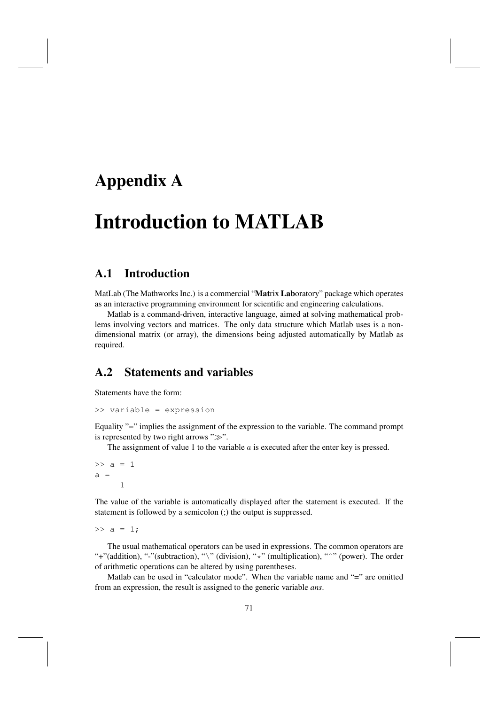## Appendix A

# Introduction to MATLAB

#### A.1 Introduction

MatLab (The Mathworks Inc.) is a commercial "Matrix Laboratory" package which operates as an interactive programming environment for scientific and engineering calculations.

Matlab is a command-driven, interactive language, aimed at solving mathematical problems involving vectors and matrices. The only data structure which Matlab uses is a nondimensional matrix (or array), the dimensions being adjusted automatically by Matlab as required.

#### A.2 Statements and variables

Statements have the form:

>> variable = expression

Equality "=" implies the assignment of the expression to the variable. The command prompt is represented by two right arrows " $\gg$ ".

The assignment of value 1 to the variable  $a$  is executed after the enter key is pressed.

 $>> a = 1$  $a =$ 1

The value of the variable is automatically displayed after the statement is executed. If the statement is followed by a semicolon (;) the output is suppressed.

 $>> a = 1$ ;

The usual mathematical operators can be used in expressions. The common operators are "+"(addition), "-"(subtraction), "\" (division), "\*" (multiplication), "<sup>^</sup>" (power). The order of arithmetic operations can be altered by using parentheses.

Matlab can be used in "calculator mode". When the variable name and "=" are omitted from an expression, the result is assigned to the generic variable *ans*.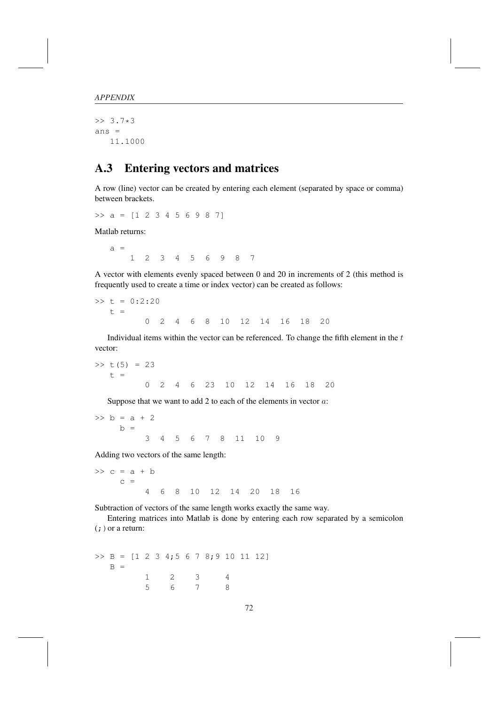>> 3.7\*3 ans = 11.1000

#### A.3 Entering vectors and matrices

A row (line) vector can be created by entering each element (separated by space or comma) between brackets.

 $\Rightarrow$  a = [1 2 3 4 5 6 9 8 7]

Matlab returns:

 $a =$ 1 2 3 4 5 6 9 8 7

A vector with elements evenly spaced between 0 and 20 in increments of 2 (this method is frequently used to create a time or index vector) can be created as follows:

 $\gg t = 0:2:20$  $t =$ 0 2 4 6 8 10 12 14 16 18 20

Individual items within the vector can be referenced. To change the fifth element in the  $t$ vector:

 $>> t(5) = 23$  $t =$ 0 2 4 6 23 10 12 14 16 18 20

Suppose that we want to add 2 to each of the elements in vector  $a$ :

 $> b = a + 2$  $h =$ 3 4 5 6 7 8 11 10 9

Adding two vectors of the same length:

 $\gg$  c = a + b  $c =$ 4 6 8 10 12 14 20 18 16

Subtraction of vectors of the same length works exactly the same way.

Entering matrices into Matlab is done by entering each row separated by a semicolon  $($ ;  $)$  or a return:

 $\Rightarrow$  B = [1 2 3 4;5 6 7 8;9 10 11 12]  $B =$ 1 2 3 4 5 6 7 8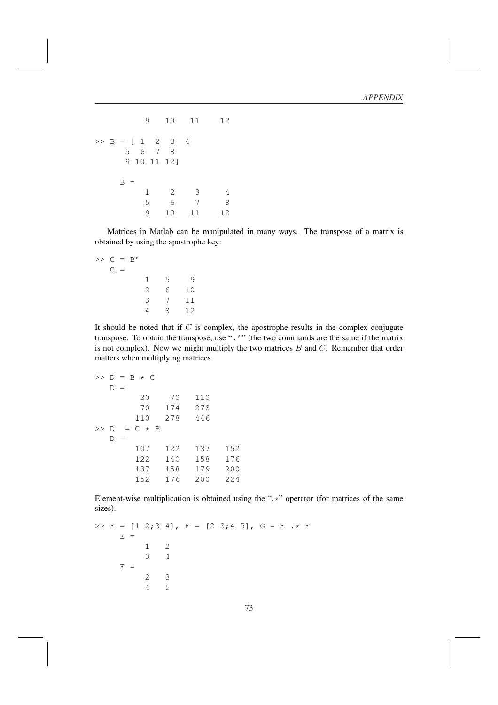```
9 10 11 12
>> B = [1 \ 2 \ 3 \ 4]5 6 7 8
    9 10 11 12]
   B =1 2 3 4
       5 6 7 8
       9 10 11 12
```
Matrices in Matlab can be manipulated in many ways. The transpose of a matrix is obtained by using the apostrophe key:

$$
>> C = B'C = 1 5 92 6 103 7 114 8 12
$$

It should be noted that if  $C$  is complex, the apostrophe results in the complex conjugate transpose. To obtain the transpose, use ".'" (the two commands are the same if the matrix is not complex). Now we might multiply the two matrices  $B$  and  $C$ . Remember that order matters when multiplying matrices.

```
>> D = B * C
  D =30 70 110
       70 174 278
      110 278 446
>> D = C * BD =107 122 137 152
      122 140 158 176
      137 158 179 200
      152 176 200 224
```
Element-wise multiplication is obtained using the ".\*" operator (for matrices of the same sizes).

```
\Rightarrow E = [1 2;3 4], F = [2 3;4 5], G = E .* F
     E =1 2
          3 4
     F =2 3
          4 5
```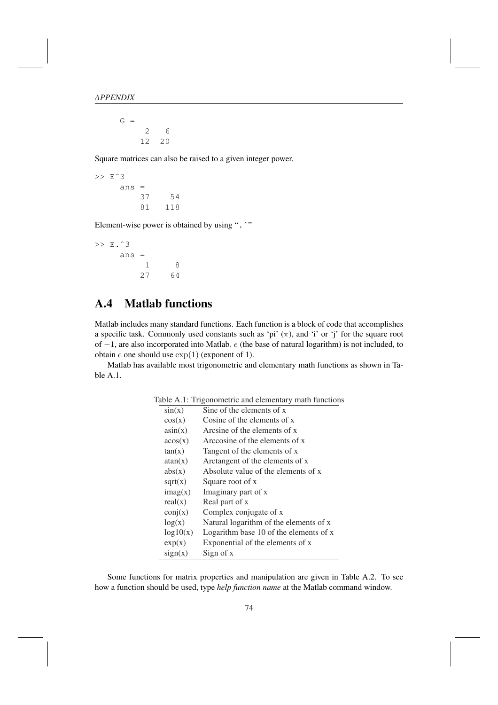$G =$ 2 6 12 20

Square matrices can also be raised to a given integer power.

>> Eˆ3 ans = 37 54 81 118

Element-wise power is obtained by using ". ^"

>> E.ˆ3 ans = 1 8 27 64

#### A.4 Matlab functions

Matlab includes many standard functions. Each function is a block of code that accomplishes a specific task. Commonly used constants such as 'pi'  $(\pi)$ , and 'i' or 'j' for the square root of −1, are also incorporated into Matlab. e (the base of natural logarithm) is not included, to obtain  $e$  one should use  $\exp(1)$  (exponent of 1).

Matlab has available most trigonometric and elementary math functions as shown in Table A.1.

| Table A.1: Trigonometric and elementary math functions |
|--------------------------------------------------------|
| Sine of the elements of x                              |
| Cosine of the elements of x                            |
| Arcsine of the elements of x                           |
| Arccosine of the elements of x                         |
| Tangent of the elements of x                           |
| Arctangent of the elements of x                        |
| Absolute value of the elements of x                    |
| Square root of x                                       |
| Imaginary part of x                                    |
| Real part of x                                         |
| Complex conjugate of x                                 |
| Natural logarithm of the elements of x                 |
| Logarithm base 10 of the elements of x                 |
| Exponential of the elements of x                       |
| Sign of x                                              |
|                                                        |

Some functions for matrix properties and manipulation are given in Table A.2. To see how a function should be used, type *help function name* at the Matlab command window.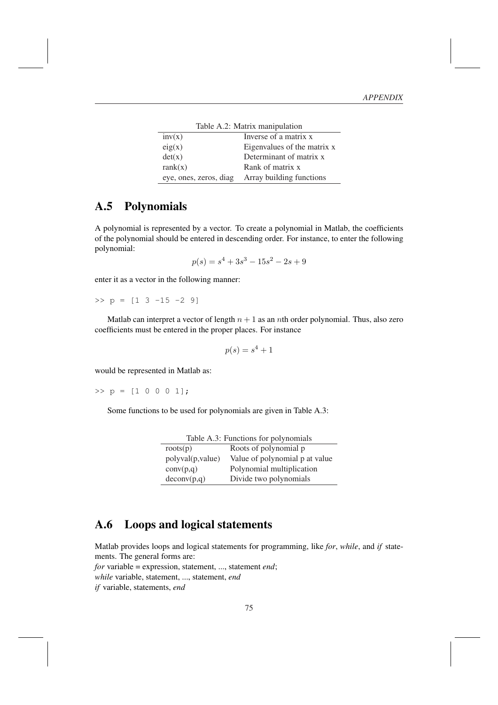| Table A.2: Matrix manipulation |                             |  |
|--------------------------------|-----------------------------|--|
| inv(x)                         | Inverse of a matrix x       |  |
| eig(x)                         | Eigenvalues of the matrix x |  |
| det(x)                         | Determinant of matrix x     |  |
| rank(x)                        | Rank of matrix x            |  |
| eye, ones, zeros, diag         | Array building functions    |  |

#### A.5 Polynomials

A polynomial is represented by a vector. To create a polynomial in Matlab, the coefficients of the polynomial should be entered in descending order. For instance, to enter the following polynomial:

$$
p(s) = s^4 + 3s^3 - 15s^2 - 2s + 9
$$

enter it as a vector in the following manner:

 $\Rightarrow$  p = [1 3 -15 -2 9]

Matlab can interpret a vector of length  $n + 1$  as an *n*th order polynomial. Thus, also zero coefficients must be entered in the proper places. For instance

$$
p(s) = s^4 + 1
$$

would be represented in Matlab as:

 $>> p = [1 \ 0 \ 0 \ 0 \ 1];$ 

Some functions to be used for polynomials are given in Table A.3:

| Table A.3: Functions for polynomials |                                |  |
|--------------------------------------|--------------------------------|--|
| roots(p)                             | Roots of polynomial p          |  |
| polyval(p, value)                    | Value of polynomial p at value |  |
| conv(p,q)                            | Polynomial multiplication      |  |
| deconv(p,q)                          | Divide two polynomials         |  |

#### A.6 Loops and logical statements

Matlab provides loops and logical statements for programming, like *for*, *while*, and *if* statements. The general forms are:

*for* variable = expression, statement, ..., statement *end*;

*while* variable, statement, ..., statement, *end*

*if* variable, statements, *end*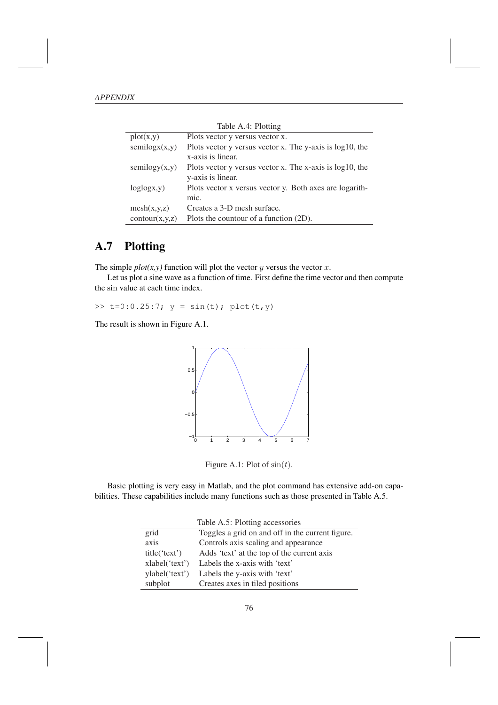|                | Table A.4: Plotting                                          |
|----------------|--------------------------------------------------------------|
| plot(x,y)      | Plots vector y versus vector x.                              |
| semilogx(x,y)  | Plots vector y versus vector x. The y-axis is $log 10$ , the |
|                | x-axis is linear.                                            |
| semilogy(x,y)  | Plots vector y versus vector x. The x-axis is $log10$ , the  |
|                | y-axis is linear.                                            |
| loglogx, y)    | Plots vector x versus vector y. Both axes are logarith-      |
|                | mic.                                                         |
| mesh(x,y,z)    | Creates a 3-D mesh surface.                                  |
| contour(x,y,z) | Plots the countour of a function (2D).                       |

### A.7 Plotting

The simple  $plot(x, y)$  function will plot the vector y versus the vector x.

Let us plot a sine wave as a function of time. First define the time vector and then compute the sin value at each time index.

>>  $t=0:0.25:7$ ;  $y = sin(t)$ ;  $plot(t, y)$ 

The result is shown in Figure A.1.



Figure A.1: Plot of  $sin(t)$ .

Basic plotting is very easy in Matlab, and the plot command has extensive add-on capabilities. These capabilities include many functions such as those presented in Table A.5.

|                | Table A.5: Plotting accessories                  |
|----------------|--------------------------------------------------|
| grid           | Toggles a grid on and off in the current figure. |
| axis           | Controls axis scaling and appearance             |
| title('text')  | Adds 'text' at the top of the current axis       |
| xlabel('text') | Labels the x-axis with 'text'                    |
| ylabel('text') | Labels the y-axis with 'text'                    |
| subplot        | Creates axes in tiled positions                  |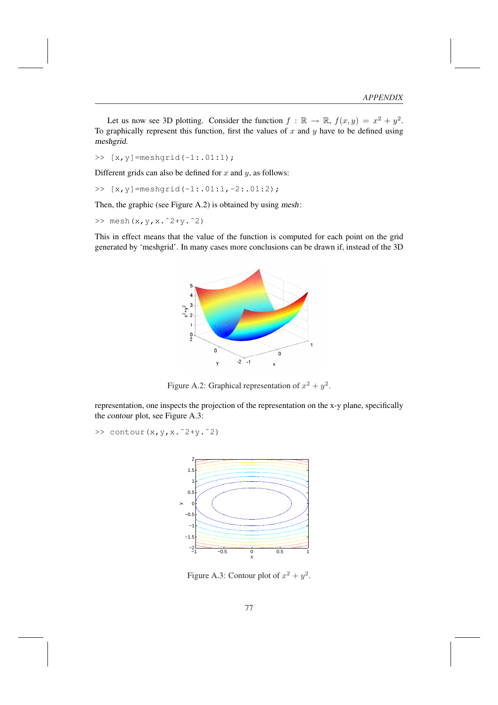Let us now see 3D plotting. Consider the function  $f : \mathbb{R} \to \mathbb{R}$ ,  $f(x, y) = x^2 + y^2$ . To graphically represent this function, first the values of  $x$  and  $y$  have to be defined using meshgrid.

>> [x,y]=meshgrid(-1:.01:1);

Different grids can also be defined for  $x$  and  $y$ , as follows:

>> [x,y]=meshgrid(-1:.01:1,-2:.01:2);

Then, the graphic (see Figure A.2) is obtained by using mesh:

>> mesh(x,y,x.ˆ2+y.ˆ2)

This in effect means that the value of the function is computed for each point on the grid generated by 'meshgrid'. In many cases more conclusions can be drawn if, instead of the 3D



Figure A.2: Graphical representation of  $x^2 + y^2$ .

representation, one inspects the projection of the representation on the x-y plane, specifically the contour plot, see Figure A.3:

>> contour(x,y,x.ˆ2+y.ˆ2)



Figure A.3: Contour plot of  $x^2 + y^2$ .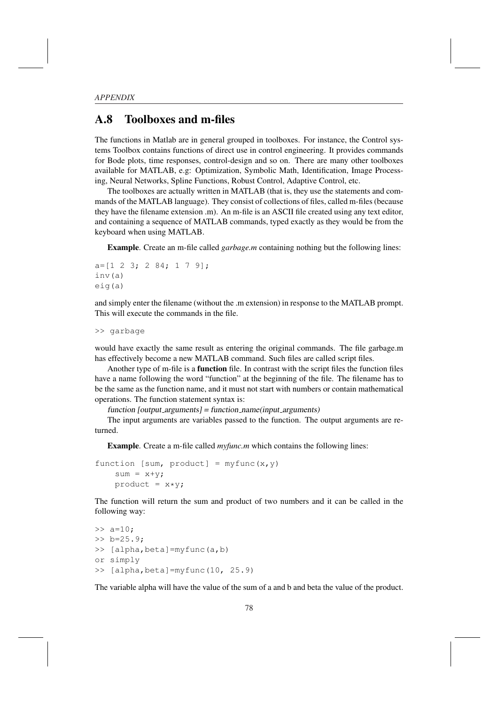#### A.8 Toolboxes and m-files

The functions in Matlab are in general grouped in toolboxes. For instance, the Control systems Toolbox contains functions of direct use in control engineering. It provides commands for Bode plots, time responses, control-design and so on. There are many other toolboxes available for MATLAB, e.g: Optimization, Symbolic Math, Identification, Image Processing, Neural Networks, Spline Functions, Robust Control, Adaptive Control, etc.

The toolboxes are actually written in MATLAB (that is, they use the statements and commands of the MATLAB language). They consist of collections of files, called m-files (because they have the filename extension .m). An m-file is an ASCII file created using any text editor, and containing a sequence of MATLAB commands, typed exactly as they would be from the keyboard when using MATLAB.

Example. Create an m-file called *garbage.m* containing nothing but the following lines:

```
a=[1 2 3; 2 84; 1 7 9];
inv(a)
eig(a)
```
and simply enter the filename (without the .m extension) in response to the MATLAB prompt. This will execute the commands in the file.

>> garbage

would have exactly the same result as entering the original commands. The file garbage.m has effectively become a new MATLAB command. Such files are called script files.

Another type of m-file is a function file. In contrast with the script files the function files have a name following the word "function" at the beginning of the file. The filename has to be the same as the function name, and it must not start with numbers or contain mathematical operations. The function statement syntax is:

 $function$  [output\_arguments] = function\_name(input\_arguments)

The input arguments are variables passed to the function. The output arguments are returned.

Example. Create a m-file called *myfunc.m* which contains the following lines:

```
function [sum, product] = myfunc(x, y)sum = x+y;
    product = x*y;
```
The function will return the sum and product of two numbers and it can be called in the following way:

```
>> a=10;>> b=25.9;
>> [alpha,beta]=myfunc(a,b)
or simply
>> [alpha,beta]=myfunc(10, 25.9)
```
The variable alpha will have the value of the sum of a and b and beta the value of the product.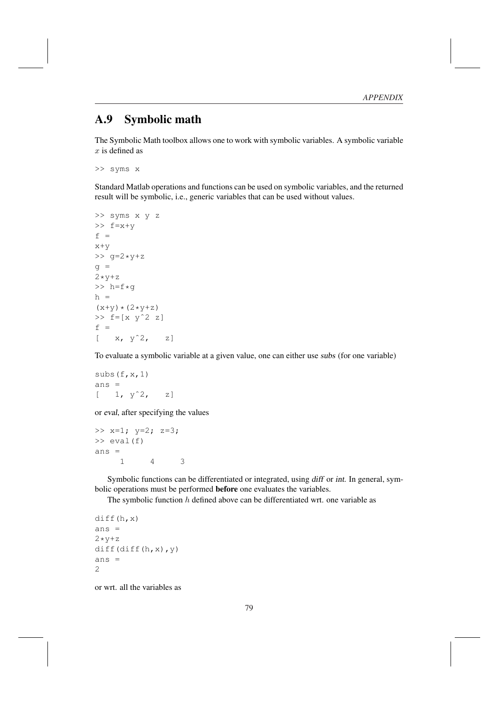#### A.9 Symbolic math

The Symbolic Math toolbox allows one to work with symbolic variables. A symbolic variable  $x$  is defined as

```
>> syms x
```
Standard Matlab operations and functions can be used on symbolic variables, and the returned result will be symbolic, i.e., generic variables that can be used without values.

```
>> syms x y z
\Rightarrow f=x+v
f =x+y
>> g=2 *y+zg =2 \times y + z>> h=f*gh =(x+y)*(2*y+z)>> f=[x \ y^2 \ z]f =[x, y^2, z]
```
To evaluate a symbolic variable at a given value, one can either use subs (for one variable)

```
subs(f, x, 1)ans =[1, y^2, z]
```
or eval, after specifying the values

```
>> x=1; y=2; z=3;
\gg eval(f)
ans =1 4 3
```
Symbolic functions can be differentiated or integrated, using diff or int. In general, symbolic operations must be performed before one evaluates the variables.

The symbolic function  $h$  defined above can be differentiated wrt. one variable as

```
diff(h,x)
ans =
2 \times y + zdiff(diff(h,x),y)
ans =2
```
or wrt. all the variables as